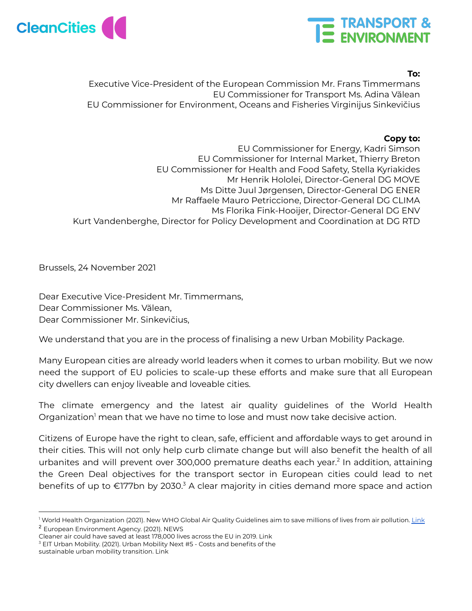



## **To:**

Executive Vice-President of the European Commission Mr. Frans Timmermans EU Commissioner for Transport Ms. Adina Vălean EU Commissioner for Environment, Oceans and Fisheries Virginijus Sinkevičius

## **Copy to:**

EU Commissioner for Energy, Kadri Simson EU Commissioner for Internal Market, Thierry Breton EU Commissioner for Health and Food Safety, Stella Kyriakides Mr Henrik Hololei, Director-General DG MOVE Ms Ditte Juul Jørgensen, Director-General DG ENER Mr Raffaele Mauro Petriccione, Director-General DG CLIMA Ms Florika Fink-Hooijer, Director-General DG ENV Kurt Vandenberghe, Director for Policy Development and Coordination at DG RTD

Brussels, 24 November 2021

Dear Executive Vice-President Mr. Timmermans, Dear Commissioner Ms. Vălean, Dear Commissioner Mr. Sinkevičius,

We understand that you are in the process of finalising a new Urban Mobility Package.

Many European cities are already world leaders when it comes to urban mobility. But we now need the support of EU policies to scale-up these efforts and make sure that all European city dwellers can enjoy liveable and loveable cities.

The climate emergency and the latest air quality guidelines of the World Health Organization<sup>1</sup> mean that we have no time to lose and must now take decisive action.

Citizens of Europe have the right to clean, safe, efficient and affordable ways to get around in their cities. This will not only help curb climate change but will also benefit the health of all urbanites and will prevent over 300,000 premature deaths each year. 2 In addition, attaining the Green Deal objectives for the transport sector in European cities could lead to net benefits of up to €177bn by 2030.<sup>3</sup> A clear majority in cities demand more space and action

<sup>2</sup> European Environment Agency. (2021). NEWS <sup>1</sup> World Health Organization (2021). New WHO Global Air Quality Guidelines aim to save millions of lives from air pollution. [Link](https://www.euro.who.int/en/media-centre/sections/press-releases/2021/new-who-global-air-quality-guidelines-aim-to-save-millions-of-lives-from-air-pollution)

Cleaner air could have saved at least 178,000 lives across the EU in 2019. [Link](https://www.eea.europa.eu/highlights/cleaner-air-could-have-saved)

<sup>&</sup>lt;sup>3</sup> EIT Urban Mobility. (2021). Urban Mobility Next #5 - Costs and benefits of the

sustainable urban mobility transition. [Link](https://www.eiturbanmobility.eu/wp-content/uploads/2021/11/UrbanMobilityNext5_Final-1.pdf)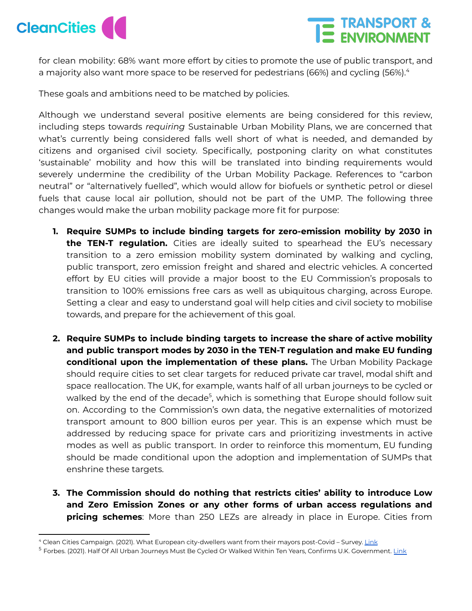



for clean mobility: 68% want more effort by cities to promote the use of public transport, and a majority also want more space to be reserved for pedestrians (66%) and cycling (56%). 4

These goals and ambitions need to be matched by policies.

Although we understand several positive elements are being considered for this review, including steps towards *requiring* Sustainable Urban Mobility Plans, we are concerned that what's currently being considered falls well short of what is needed, and demanded by citizens and organised civil society. Specifically, postponing clarity on what constitutes 'sustainable' mobility and how this will be translated into binding requirements would severely undermine the credibility of the Urban Mobility Package. References to "carbon neutral" or "alternatively fuelled", which would allow for biofuels or synthetic petrol or diesel fuels that cause local air pollution, should not be part of the UMP. The following three changes would make the urban mobility package more fit for purpose:

- **1. Require SUMPs to include binding targets for zero-emission mobility by 2030 in the TEN-T regulation.** Cities are ideally suited to spearhead the EU's necessary transition to a zero emission mobility system dominated by walking and cycling, public transport, zero emission freight and shared and electric vehicles. A concerted effort by EU cities will provide a major boost to the EU Commission's proposals to transition to 100% emissions free cars as well as ubiquitous charging, across Europe. Setting a clear and easy to understand goal will help cities and civil society to mobilise towards, and prepare for the achievement of this goal.
- **2. Require SUMPs to include binding targets to increase the share of active mobility and public transport modes by 2030 in the TEN-T regulation and make EU funding conditional upon the implementation of these plans.** The Urban Mobility Package should require cities to set clear targets for reduced private car travel, modal shift and space reallocation. The UK, for example, wants half of all urban journeys to be cycled or walked by the end of the decade<sup>5</sup>, which is something that Europe should follow suit on. According to the Commission's own data, the negative externalities of motorized transport amount to 800 billion euros per year. This is an expense which must be addressed by reducing space for private cars and prioritizing investments in active modes as well as public transport. In order to reinforce this momentum, EU funding should be made conditional upon the adoption and implementation of SUMPs that enshrine these targets.
- **3. The Commission should do nothing that restricts cities' ability to introduce Low and Zero Emission Zones or any other forms of urban access regulations and pricing schemes**: More than 250 LEZs are already in place in Europe. Cities from

<sup>&</sup>lt;sup>4</sup> Clean Cities Campaign. (2021). What European city-dwellers want from their mayors post-Covid – Survey. [Link](https://cleancitiescampaign.org/2021/05/04/what-city-dwellers-want-from-their-mayors-post-covid/)

<sup>&</sup>lt;sup>5</sup> Forbes. (2021). Half Of All Urban Journeys Must Be Cycled Or Walked Within Ten Years, Confirms U.K. Government. [Link](https://www.forbes.com/sites/carltonreid/2021/02/03/half-of-all-urban-journeys-must-be-cycled-or-walked-within-ten-years-confirms-uk-government/)